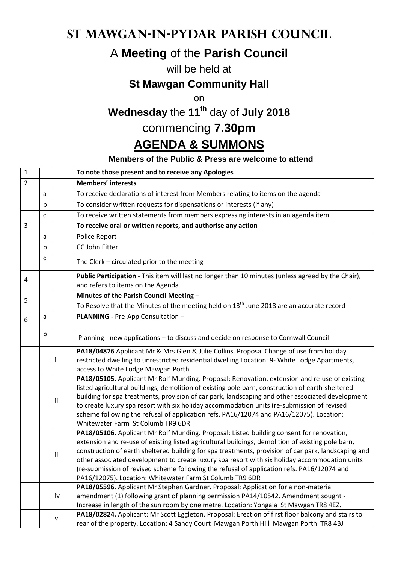### **St Mawgan-in-Pydar Parish Council**

# A **Meeting** of the **Parish Council**

### will be held at

### **St Mawgan Community Hall**

on

# **Wednesday** the **11th** day of **July 2018**

## commencing **7.30pm**

### **AGENDA & SUMMONS**

#### **Members of the Public & Press are welcome to attend**

|   |              | To note those present and to receive any Apologies                                                                                                                                                                                                                                                                                                                                                                                                                                                                                                              |
|---|--------------|-----------------------------------------------------------------------------------------------------------------------------------------------------------------------------------------------------------------------------------------------------------------------------------------------------------------------------------------------------------------------------------------------------------------------------------------------------------------------------------------------------------------------------------------------------------------|
|   |              | <b>Members' interests</b>                                                                                                                                                                                                                                                                                                                                                                                                                                                                                                                                       |
| a |              | To receive declarations of interest from Members relating to items on the agenda                                                                                                                                                                                                                                                                                                                                                                                                                                                                                |
| b |              | To consider written requests for dispensations or interests (if any)                                                                                                                                                                                                                                                                                                                                                                                                                                                                                            |
| C |              | To receive written statements from members expressing interests in an agenda item                                                                                                                                                                                                                                                                                                                                                                                                                                                                               |
|   |              | To receive oral or written reports, and authorise any action                                                                                                                                                                                                                                                                                                                                                                                                                                                                                                    |
| a |              | Police Report                                                                                                                                                                                                                                                                                                                                                                                                                                                                                                                                                   |
| b |              | CC John Fitter                                                                                                                                                                                                                                                                                                                                                                                                                                                                                                                                                  |
| C |              | The Clerk - circulated prior to the meeting                                                                                                                                                                                                                                                                                                                                                                                                                                                                                                                     |
|   |              | Public Participation - This item will last no longer than 10 minutes (unless agreed by the Chair),<br>and refers to items on the Agenda                                                                                                                                                                                                                                                                                                                                                                                                                         |
|   |              | Minutes of the Parish Council Meeting -                                                                                                                                                                                                                                                                                                                                                                                                                                                                                                                         |
|   |              | To Resolve that the Minutes of the meeting held on $13th$ June 2018 are an accurate record                                                                                                                                                                                                                                                                                                                                                                                                                                                                      |
| a |              | PLANNING - Pre-App Consultation -                                                                                                                                                                                                                                                                                                                                                                                                                                                                                                                               |
| b |              | Planning - new applications - to discuss and decide on response to Cornwall Council                                                                                                                                                                                                                                                                                                                                                                                                                                                                             |
|   | i            | PA18/04876 Applicant Mr & Mrs Glen & Julie Collins. Proposal Change of use from holiday<br>restricted dwelling to unrestricted residential dwelling Location: 9- White Lodge Apartments,<br>access to White Lodge Mawgan Porth.                                                                                                                                                                                                                                                                                                                                 |
|   | ii           | PA18/05105. Applicant Mr Rolf Munding. Proposal: Renovation, extension and re-use of existing<br>listed agricultural buildings, demolition of existing pole barn, construction of earth-sheltered<br>building for spa treatments, provision of car park, landscaping and other associated development<br>to create luxury spa resort with six holiday accommodation units (re-submission of revised<br>scheme following the refusal of application refs. PA16/12074 and PA16/12075). Location:<br>Whitewater Farm St Columb TR9 6DR                             |
|   | iii          | PA18/05106. Applicant Mr Rolf Munding. Proposal: Listed building consent for renovation,<br>extension and re-use of existing listed agricultural buildings, demolition of existing pole barn,<br>construction of earth sheltered building for spa treatments, provision of car park, landscaping and<br>other associated development to create luxury spa resort with six holiday accommodation units<br>(re-submission of revised scheme following the refusal of application refs. PA16/12074 and<br>PA16/12075). Location: Whitewater Farm St Columb TR9 6DR |
|   |              | PA18/05596. Applicant Mr Stephen Gardner. Proposal: Application for a non-material                                                                                                                                                                                                                                                                                                                                                                                                                                                                              |
|   |              | amendment (1) following grant of planning permission PA14/10542. Amendment sought -                                                                                                                                                                                                                                                                                                                                                                                                                                                                             |
|   |              | Increase in length of the sun room by one metre. Location: Yongala St Mawgan TR8 4EZ.                                                                                                                                                                                                                                                                                                                                                                                                                                                                           |
|   | $\mathsf{v}$ | PA18/02824. Applicant: Mr Scott Eggleton. Proposal: Erection of first floor balcony and stairs to<br>rear of the property. Location: 4 Sandy Court Mawgan Porth Hill Mawgan Porth TR8 4BJ                                                                                                                                                                                                                                                                                                                                                                       |
|   |              | iv                                                                                                                                                                                                                                                                                                                                                                                                                                                                                                                                                              |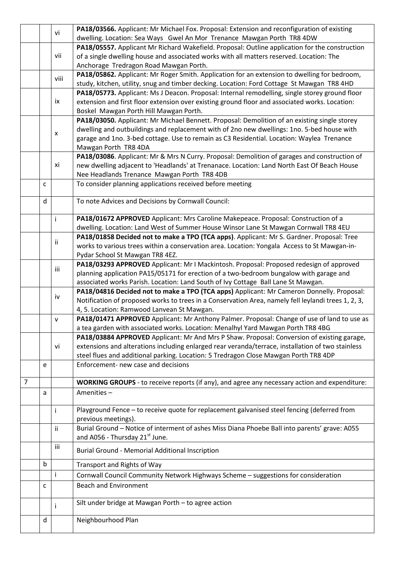|                |             | vi   | PA18/03566. Applicant: Mr Michael Fox. Proposal: Extension and reconfiguration of existing          |
|----------------|-------------|------|-----------------------------------------------------------------------------------------------------|
|                |             |      | dwelling. Location: Sea Ways Gwel An Mor Trenance Mawgan Porth TR8 4DW                              |
|                |             |      | PA18/05557. Applicant Mr Richard Wakefield. Proposal: Outline application for the construction      |
|                |             | vii  | of a single dwelling house and associated works with all matters reserved. Location: The            |
|                |             |      | Anchorage Tredragon Road Mawgan Porth.                                                              |
|                |             | viii | PA18/05862. Applicant: Mr Roger Smith. Application for an extension to dwelling for bedroom,        |
|                |             |      | study, kitchen, utility, snug and timber decking. Location: Ford Cottage St Mawgan TR8 4HD          |
|                |             |      | PA18/05773. Applicant: Ms J Deacon. Proposal: Internal remodelling, single storey ground floor      |
|                |             | ix   | extension and first floor extension over existing ground floor and associated works. Location:      |
|                |             |      | Boskel Mawgan Porth Hill Mawgan Porth.                                                              |
|                |             |      | PA18/03050. Applicant: Mr Michael Bennett. Proposal: Demolition of an existing single storey        |
|                |             | X    | dwelling and outbuildings and replacement with of 2no new dwellings: 1no. 5-bed house with          |
|                |             |      | garage and 1no. 3-bed cottage. Use to remain as C3 Residential. Location: Waylea Trenance           |
|                |             |      | Mawgan Porth TR8 4DA                                                                                |
|                |             | хi   | PA18/03086. Applicant: Mr & Mrs N Curry. Proposal: Demolition of garages and construction of        |
|                |             |      | new dwelling adjacent to 'Headlands' at Trenanace. Location: Land North East Of Beach House         |
|                |             |      | Nee Headlands Trenance Mawgan Porth TR8 4DB                                                         |
|                | C           |      | To consider planning applications received before meeting                                           |
|                | d           |      | To note Advices and Decisions by Cornwall Council:                                                  |
|                |             |      |                                                                                                     |
|                |             | i    | PA18/01672 APPROVED Applicant: Mrs Caroline Makepeace. Proposal: Construction of a                  |
|                |             |      | dwelling. Location: Land West of Summer House Winsor Lane St Mawgan Cornwall TR8 4EU                |
|                |             |      | PA18/01858 Decided not to make a TPO (TCA apps). Applicant: Mr S. Gardner. Proposal: Tree           |
|                |             | jj.  | works to various trees within a conservation area. Location: Yongala Access to St Mawgan-in-        |
|                |             |      | Pydar School St Mawgan TR8 4EZ.                                                                     |
|                |             |      | PA18/03293 APPROVED Applicant: Mr I Mackintosh. Proposal: Proposed redesign of approved             |
|                |             | iii  | planning application PA15/05171 for erection of a two-bedroom bungalow with garage and              |
|                |             |      | associated works Parish. Location: Land South of Ivy Cottage Ball Lane St Mawgan.                   |
|                |             |      | PA18/04816 Decided not to make a TPO (TCA apps) Applicant: Mr Cameron Donnelly. Proposal:           |
|                |             | iv   | Notification of proposed works to trees in a Conservation Area, namely fell leylandi trees 1, 2, 3, |
|                |             |      | 4, 5. Location: Ramwood Lanvean St Mawgan.                                                          |
|                |             | V    | PA18/01471 APPROVED Applicant: Mr Anthony Palmer. Proposal: Change of use of land to use as         |
|                |             |      | a tea garden with associated works. Location: Menalhyl Yard Mawgan Porth TR8 4BG                    |
|                |             |      | PA18/03884 APPROVED Applicant: Mr And Mrs P Shaw. Proposal: Conversion of existing garage,          |
|                |             | vi   | extensions and alterations including enlarged rear veranda/terrace, installation of two stainless   |
|                |             |      | steel flues and additional parking. Location: 5 Tredragon Close Mawgan Porth TR8 4DP                |
|                | e           |      | Enforcement- new case and decisions                                                                 |
|                |             |      |                                                                                                     |
| $\overline{7}$ |             |      | WORKING GROUPS - to receive reports (if any), and agree any necessary action and expenditure:       |
|                | a           |      | Amenities-                                                                                          |
|                |             |      |                                                                                                     |
|                |             | j.   | Playground Fence - to receive quote for replacement galvanised steel fencing (deferred from         |
|                |             |      | previous meetings).                                                                                 |
|                |             | ii.  | Burial Ground - Notice of interment of ashes Miss Diana Phoebe Ball into parents' grave: A055       |
|                |             |      | and A056 - Thursday 21 <sup>st</sup> June.                                                          |
|                |             | iii  | <b>Burial Ground - Memorial Additional Inscription</b>                                              |
|                | $\mathsf b$ |      | Transport and Rights of Way                                                                         |
|                |             | i    | Cornwall Council Community Network Highways Scheme - suggestions for consideration                  |
|                | C           |      | <b>Beach and Environment</b>                                                                        |
|                |             |      |                                                                                                     |
|                |             |      | Silt under bridge at Mawgan Porth - to agree action                                                 |
|                |             | Ť    |                                                                                                     |
|                | d           |      | Neighbourhood Plan                                                                                  |
|                |             |      |                                                                                                     |